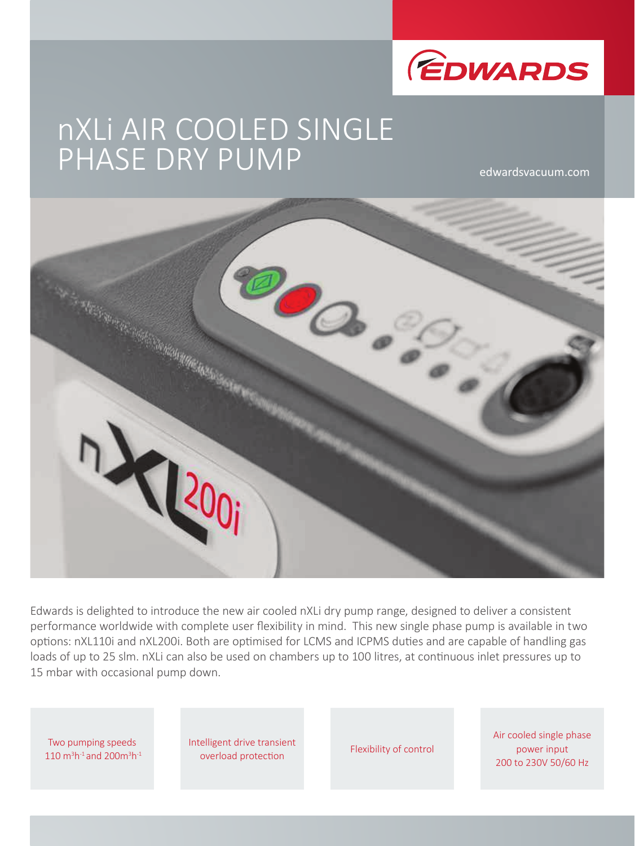

# nXLi AIR COOLED SINGLE PHASE DRY PUMP

edwardsvacuum.com



Edwards is delighted to introduce the new air cooled nXLi dry pump range, designed to deliver a consistent performance worldwide with complete user flexibility in mind. This new single phase pump is available in two options: nXL110i and nXL200i. Both are optimised for LCMS and ICPMS duties and are capable of handling gas loads of up to 25 slm. nXLi can also be used on chambers up to 100 litres, at continuous inlet pressures up to 15 mbar with occasional pump down.

Two pumping speeds 110  $m^3h^{-1}$  and 200 $m^3h^{-1}$  Intelligent drive transient emgent unvertisient<br>
Flexibility of control<br>
Plexibility of control

Air cooled single phase power input 200 to 230V 50/60 Hz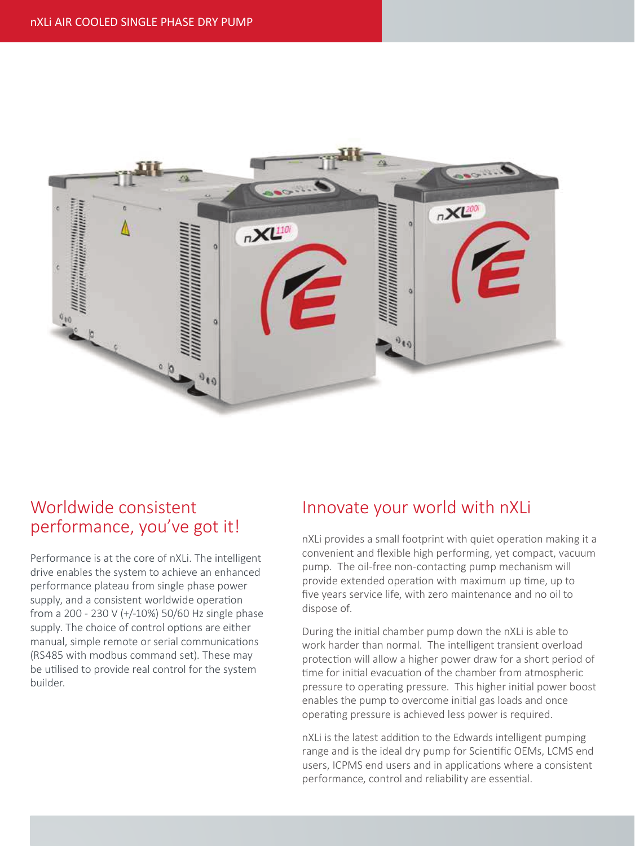

## Worldwide consistent performance, you've got it!

Performance is at the core of nXLi. The intelligent drive enables the system to achieve an enhanced performance plateau from single phase power supply, and a consistent worldwide operation from a 200 - 230 V (+/-10%) 50/60 Hz single phase supply. The choice of control options are either manual, simple remote or serial communications (RS485 with modbus command set). These may be utilised to provide real control for the system builder.

## Innovate your world with nXLi

nXLi provides a small footprint with quiet operation making it a convenient and flexible high performing, yet compact, vacuum pump. The oil-free non-contacting pump mechanism will provide extended operation with maximum up time, up to five years service life, with zero maintenance and no oil to dispose of.

During the initial chamber pump down the nXLi is able to work harder than normal. The intelligent transient overload protection will allow a higher power draw for a short period of time for initial evacuation of the chamber from atmospheric pressure to operating pressure. This higher initial power boost enables the pump to overcome initial gas loads and once operating pressure is achieved less power is required.

nXLi is the latest addition to the Edwards intelligent pumping range and is the ideal dry pump for Scientific OEMs, LCMS end users, ICPMS end users and in applications where a consistent performance, control and reliability are essential.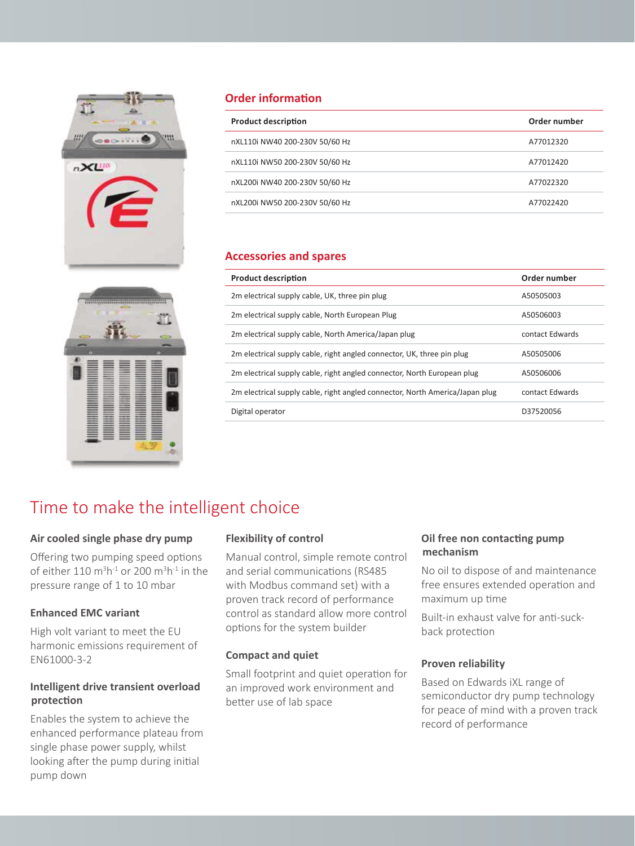



### **Order information**

| <b>Product description</b>     | Order number |
|--------------------------------|--------------|
| nXL110i NW40 200-230V 50/60 Hz | A77012320    |
| nXL110i NW50 200-230V 50/60 Hz | A77012420    |
| nXL200i NW40 200-230V 50/60 Hz | A77022320    |
| nXL200i NW50 200-230V 50/60 Hz | A77022420    |

#### **Accessories and spares**

| Order number    |
|-----------------|
| A50505003       |
| A50506003       |
| contact Edwards |
| A50505006       |
| A50506006       |
| contact Edwards |
| D37520056       |
|                 |

# Time to make the intelligent choice

#### **Air cooled single phase dry pump**

Offering two pumping speed options of either  $110 \text{ m}^3\text{h}^{-1}$  or 200 m $^3\text{h}^{-1}$  in the pressure range of 1 to 10 mbar

#### **Enhanced EMC variant**

High volt variant to meet the EU harmonic emissions requirement of EN61000-3-2

#### **Intelligent drive transient overload protection**

Enables the system to achieve the enhanced performance plateau from single phase power supply, whilst looking after the pump during initial pump down

#### **Flexibility of control**

Manual control, simple remote control and serial communications (RS485 with Modbus command set) with a proven track record of performance control as standard allow more control options for the system builder

#### **Compact and quiet**

Small footprint and quiet operation for an improved work environment and better use of lab space

#### **Oil free non contacting pump mechanism**

No oil to dispose of and maintenance free ensures extended operation and maximum up time

Built-in exhaust valve for anti-suckback protection

#### **Proven reliability**

Based on Edwards iXL range of semiconductor dry pump technology for peace of mind with a proven track record of performance